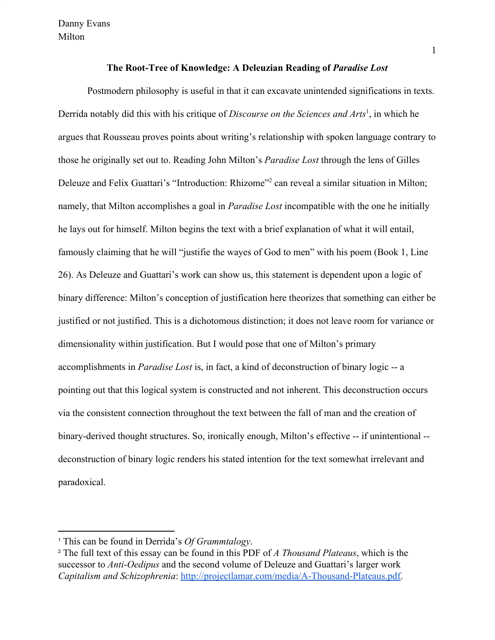Postmodern philosophy is useful in that it can excavate unintended significations in texts. Derrida notably did this with his critique of *Discourse on the Sciences and Arts*<sup>1</sup>, in which he argues that Rousseau proves points about writing's relationship with spoken language contrary to those he originally set out to. Reading John Milton's *Paradise Lost* through the lens of Gilles Deleuze and Felix Guattari's "Introduction: Rhizome"<sup>2</sup> can reveal a similar situation in Milton; namely, that Milton accomplishes a goal in *Paradise Lost* incompatible with the one he initially he lays out for himself. Milton begins the text with a brief explanation of what it will entail, famously claiming that he will "justifie the wayes of God to men" with his poem (Book 1, Line 26). As Deleuze and Guattari's work can show us, this statement is dependent upon a logic of binary difference: Milton's conception of justification here theorizes that something can either be justified or not justified. This is a dichotomous distinction; it does not leave room for variance or dimensionality within justification. But I would pose that one of Milton's primary accomplishments in *Paradise Lost* is, in fact, a kind of deconstruction of binary logic -- a pointing out that this logical system is constructed and not inherent. This deconstruction occurs via the consistent connection throughout the text between the fall of man and the creation of binary-derived thought structures. So, ironically enough, Milton's effective -- if unintentional - deconstruction of binary logic renders his stated intention for the text somewhat irrelevant and paradoxical.

<sup>1</sup> This can be found in Derrida's *Of Grammtalogy*.

<sup>2</sup> The full text of this essay can be found in this PDF of *A Thousand Plateaus*, which is the successor to *Anti-Oedipus* and the second volume of Deleuze and Guattari's larger work *Capitalism and Schizophrenia*: [http://projectlamar.com/media/A-Thousand-Plateaus.pdf.](http://projectlamar.com/media/A-Thousand-Plateaus.pdf)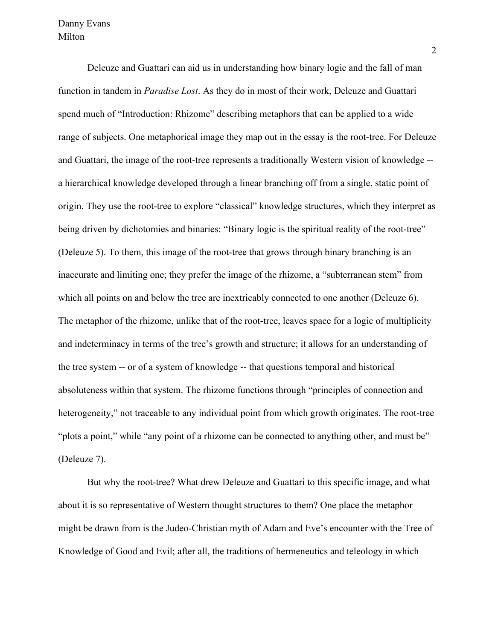Deleuze and Guattari can aid us in understanding how binary logic and the fall of man function in tandem in *Paradise Lost*. As they do in most of their work, Deleuze and Guattari spend much of "Introduction: Rhizome" describing metaphors that can be applied to a wide range of subjects. One metaphorical image they map out in the essay is the root-tree. For Deleuze and Guattari, the image of the root-tree represents a traditionally Western vision of knowledge - a hierarchical knowledge developed through a linear branching off from a single, static point of origin. They use the root-tree to explore "classical" knowledge structures, which they interpret as being driven by dichotomies and binaries: "Binary logic is the spiritual reality of the root-tree" (Deleuze 5). To them, this image of the root-tree that grows through binary branching is an inaccurate and limiting one; they prefer the image of the rhizome, a "subterranean stem" from which all points on and below the tree are inextricably connected to one another (Deleuze 6). The metaphor of the rhizome, unlike that of the root-tree, leaves space for a logic of multiplicity and indeterminacy in terms of the tree's growth and structure; it allows for an understanding of the tree system -- or of a system of knowledge -- that questions temporal and historical absoluteness within that system. The rhizome functions through "principles of connection and heterogeneity," not traceable to any individual point from which growth originates. The root-tree "plots a point," while "any point of a rhizome can be connected to anything other, and must be" (Deleuze 7).

But why the root-tree? What drew Deleuze and Guattari to this specific image, and what about it is so representative of Western thought structures to them? One place the metaphor might be drawn from is the Judeo-Christian myth of Adam and Eve's encounter with the Tree of Knowledge of Good and Evil; after all, the traditions of hermeneutics and teleology in which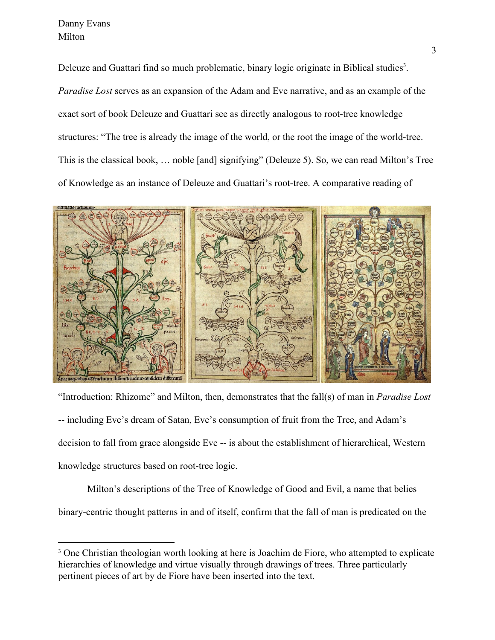Deleuze and Guattari find so much problematic, binary logic originate in Biblical studies<sup>3</sup>. *Paradise Lost* serves as an expansion of the Adam and Eve narrative, and as an example of the exact sort of book Deleuze and Guattari see as directly analogous to root-tree knowledge structures: "The tree is already the image of the world, or the root the image of the world-tree. This is the classical book, … noble [and] signifying" (Deleuze 5). So, we can read Milton's Tree of Knowledge as an instance of Deleuze and Guattari's root-tree. A comparative reading of



"Introduction: Rhizome" and Milton, then, demonstrates that the fall(s) of man in *Paradise Lost* -- including Eve's dream of Satan, Eve's consumption of fruit from the Tree, and Adam's decision to fall from grace alongside Eve -- is about the establishment of hierarchical, Western knowledge structures based on root-tree logic.

Milton's descriptions of the Tree of Knowledge of Good and Evil, a name that belies binary-centric thought patterns in and of itself, confirm that the fall of man is predicated on the

<sup>&</sup>lt;sup>3</sup> One Christian theologian worth looking at here is Joachim de Fiore, who attempted to explicate hierarchies of knowledge and virtue visually through drawings of trees. Three particularly pertinent pieces of art by de Fiore have been inserted into the text.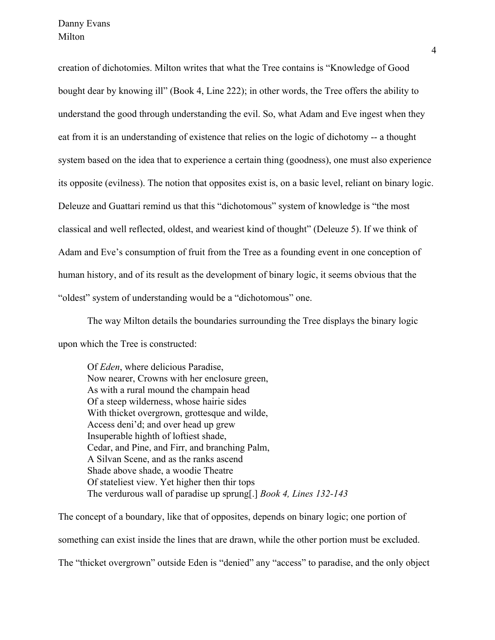creation of dichotomies. Milton writes that what the Tree contains is "Knowledge of Good bought dear by knowing ill" (Book 4, Line 222); in other words, the Tree offers the ability to understand the good through understanding the evil. So, what Adam and Eve ingest when they eat from it is an understanding of existence that relies on the logic of dichotomy -- a thought system based on the idea that to experience a certain thing (goodness), one must also experience its opposite (evilness). The notion that opposites exist is, on a basic level, reliant on binary logic. Deleuze and Guattari remind us that this "dichotomous" system of knowledge is "the most classical and well reflected, oldest, and weariest kind of thought" (Deleuze 5). If we think of Adam and Eve's consumption of fruit from the Tree as a founding event in one conception of human history, and of its result as the development of binary logic, it seems obvious that the "oldest" system of understanding would be a "dichotomous" one.

The way Milton details the boundaries surrounding the Tree displays the binary logic upon which the Tree is constructed:

Of *Eden*, where delicious Paradise, Now nearer, Crowns with her enclosure green, As with a rural mound the champain head Of a steep wilderness, whose hairie sides With thicket overgrown, grottesque and wilde, Access deni'd; and over head up grew Insuperable highth of loftiest shade, Cedar, and Pine, and Firr, and branching Palm, A Silvan Scene, and as the ranks ascend Shade above shade, a woodie Theatre Of stateliest view. Yet higher then thir tops The verdurous wall of paradise up sprung[.] *Book 4, Lines 132-143*

The concept of a boundary, like that of opposites, depends on binary logic; one portion of something can exist inside the lines that are drawn, while the other portion must be excluded. The "thicket overgrown" outside Eden is "denied" any "access" to paradise, and the only object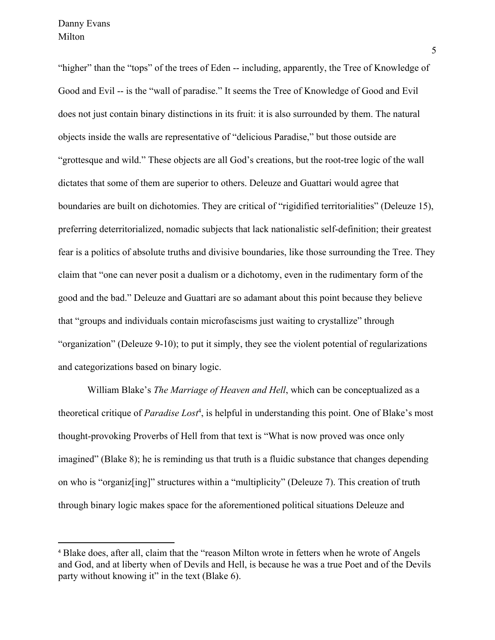"higher" than the "tops" of the trees of Eden -- including, apparently, the Tree of Knowledge of Good and Evil -- is the "wall of paradise." It seems the Tree of Knowledge of Good and Evil does not just contain binary distinctions in its fruit: it is also surrounded by them. The natural objects inside the walls are representative of "delicious Paradise," but those outside are "grottesque and wild." These objects are all God's creations, but the root-tree logic of the wall dictates that some of them are superior to others. Deleuze and Guattari would agree that boundaries are built on dichotomies. They are critical of "rigidified territorialities" (Deleuze 15), preferring deterritorialized, nomadic subjects that lack nationalistic self-definition; their greatest fear is a politics of absolute truths and divisive boundaries, like those surrounding the Tree. They claim that "one can never posit a dualism or a dichotomy, even in the rudimentary form of the good and the bad." Deleuze and Guattari are so adamant about this point because they believe that "groups and individuals contain microfascisms just waiting to crystallize" through "organization" (Deleuze 9-10); to put it simply, they see the violent potential of regularizations and categorizations based on binary logic.

William Blake's *The Marriage of Heaven and Hell*, which can be conceptualized as a theoretical critique of *Paradise Lost<sup>4</sup>*, is helpful in understanding this point. One of Blake's most thought-provoking Proverbs of Hell from that text is "What is now proved was once only imagined" (Blake 8); he is reminding us that truth is a fluidic substance that changes depending on who is "organiz[ing]" structures within a "multiplicity" (Deleuze 7). This creation of truth through binary logic makes space for the aforementioned political situations Deleuze and

<sup>4</sup> Blake does, after all, claim that the "reason Milton wrote in fetters when he wrote of Angels and God, and at liberty when of Devils and Hell, is because he was a true Poet and of the Devils party without knowing it" in the text (Blake 6).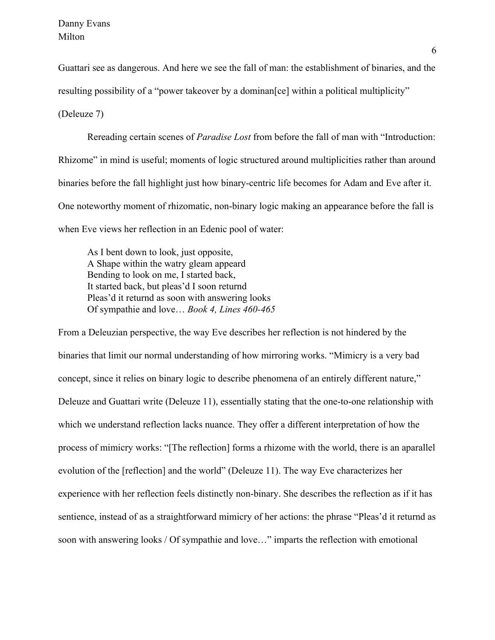Guattari see as dangerous. And here we see the fall of man: the establishment of binaries, and the resulting possibility of a "power takeover by a dominan [ce] within a political multiplicity"

(Deleuze 7)

Rereading certain scenes of *Paradise Lost* from before the fall of man with "Introduction: Rhizome" in mind is useful; moments of logic structured around multiplicities rather than around binaries before the fall highlight just how binary-centric life becomes for Adam and Eve after it. One noteworthy moment of rhizomatic, non-binary logic making an appearance before the fall is when Eve views her reflection in an Edenic pool of water:

As I bent down to look, just opposite, A Shape within the watry gleam appeard Bending to look on me, I started back, It started back, but pleas'd I soon returnd Pleas'd it returnd as soon with answering looks Of sympathie and love… *Book 4, Lines 460-465*

From a Deleuzian perspective, the way Eve describes her reflection is not hindered by the binaries that limit our normal understanding of how mirroring works. "Mimicry is a very bad concept, since it relies on binary logic to describe phenomena of an entirely different nature," Deleuze and Guattari write (Deleuze 11), essentially stating that the one-to-one relationship with which we understand reflection lacks nuance. They offer a different interpretation of how the process of mimicry works: "[The reflection] forms a rhizome with the world, there is an aparallel evolution of the [reflection] and the world" (Deleuze 11). The way Eve characterizes her experience with her reflection feels distinctly non-binary. She describes the reflection as if it has sentience, instead of as a straightforward mimicry of her actions: the phrase "Pleas'd it returnd as soon with answering looks / Of sympathie and love…" imparts the reflection with emotional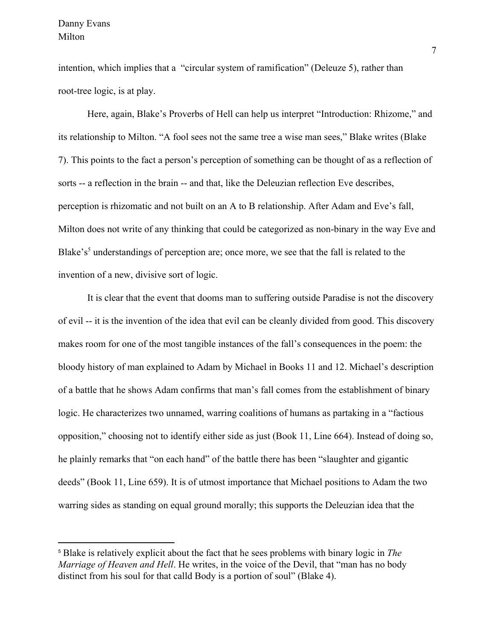intention, which implies that a "circular system of ramification" (Deleuze 5), rather than root-tree logic, is at play.

Here, again, Blake's Proverbs of Hell can help us interpret "Introduction: Rhizome," and its relationship to Milton. "A fool sees not the same tree a wise man sees," Blake writes (Blake 7). This points to the fact a person's perception of something can be thought of as a reflection of sorts -- a reflection in the brain -- and that, like the Deleuzian reflection Eve describes, perception is rhizomatic and not built on an A to B relationship. After Adam and Eve's fall, Milton does not write of any thinking that could be categorized as non-binary in the way Eve and Blake's<sup>5</sup> understandings of perception are; once more, we see that the fall is related to the invention of a new, divisive sort of logic.

It is clear that the event that dooms man to suffering outside Paradise is not the discovery of evil -- it is the invention of the idea that evil can be cleanly divided from good. This discovery makes room for one of the most tangible instances of the fall's consequences in the poem: the bloody history of man explained to Adam by Michael in Books 11 and 12. Michael's description of a battle that he shows Adam confirms that man's fall comes from the establishment of binary logic. He characterizes two unnamed, warring coalitions of humans as partaking in a "factious opposition," choosing not to identify either side as just (Book 11, Line 664). Instead of doing so, he plainly remarks that "on each hand" of the battle there has been "slaughter and gigantic deeds" (Book 11, Line 659). It is of utmost importance that Michael positions to Adam the two warring sides as standing on equal ground morally; this supports the Deleuzian idea that the

<sup>5</sup> Blake is relatively explicit about the fact that he sees problems with binary logic in *The Marriage of Heaven and Hell*. He writes, in the voice of the Devil, that "man has no body distinct from his soul for that calld Body is a portion of soul" (Blake 4).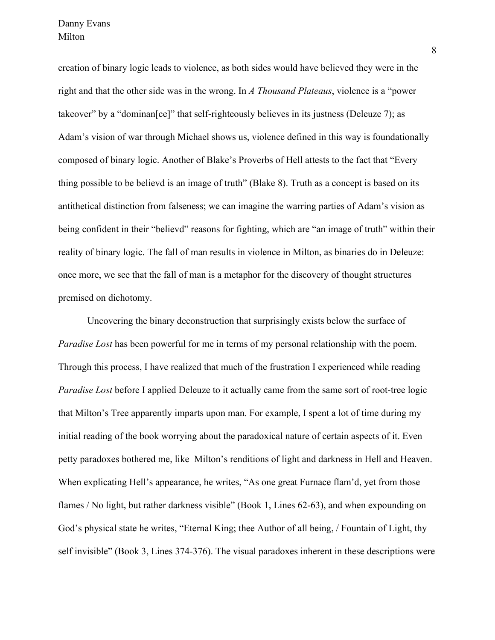creation of binary logic leads to violence, as both sides would have believed they were in the right and that the other side was in the wrong. In *A Thousand Plateaus*, violence is a "power takeover" by a "dominan[ce]" that self-righteously believes in its justness (Deleuze 7); as Adam's vision of war through Michael shows us, violence defined in this way is foundationally composed of binary logic. Another of Blake's Proverbs of Hell attests to the fact that "Every thing possible to be believd is an image of truth" (Blake 8). Truth as a concept is based on its antithetical distinction from falseness; we can imagine the warring parties of Adam's vision as being confident in their "believd" reasons for fighting, which are "an image of truth" within their reality of binary logic. The fall of man results in violence in Milton, as binaries do in Deleuze: once more, we see that the fall of man is a metaphor for the discovery of thought structures premised on dichotomy.

Uncovering the binary deconstruction that surprisingly exists below the surface of *Paradise Lost* has been powerful for me in terms of my personal relationship with the poem. Through this process, I have realized that much of the frustration I experienced while reading *Paradise Lost* before I applied Deleuze to it actually came from the same sort of root-tree logic that Milton's Tree apparently imparts upon man. For example, I spent a lot of time during my initial reading of the book worrying about the paradoxical nature of certain aspects of it. Even petty paradoxes bothered me, like Milton's renditions of light and darkness in Hell and Heaven. When explicating Hell's appearance, he writes, "As one great Furnace flam'd, yet from those flames / No light, but rather darkness visible" (Book 1, Lines 62-63), and when expounding on God's physical state he writes, "Eternal King; thee Author of all being, / Fountain of Light, thy self invisible" (Book 3, Lines 374-376). The visual paradoxes inherent in these descriptions were

8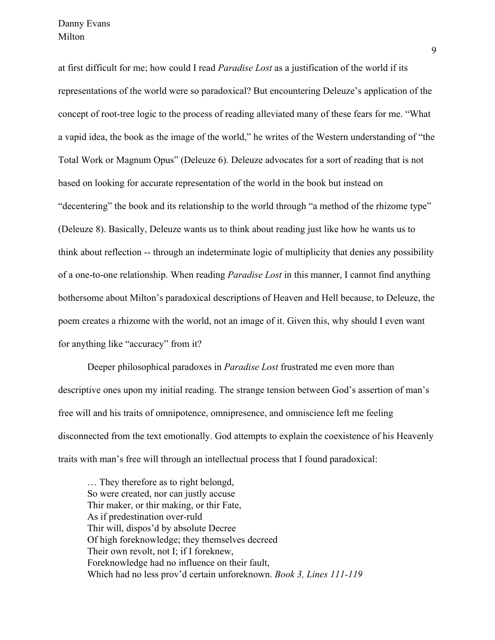at first difficult for me; how could I read *Paradise Lost* as a justification of the world if its representations of the world were so paradoxical? But encountering Deleuze's application of the concept of root-tree logic to the process of reading alleviated many of these fears for me. "What a vapid idea, the book as the image of the world," he writes of the Western understanding of "the Total Work or Magnum Opus" (Deleuze 6). Deleuze advocates for a sort of reading that is not based on looking for accurate representation of the world in the book but instead on "decentering" the book and its relationship to the world through "a method of the rhizome type" (Deleuze 8). Basically, Deleuze wants us to think about reading just like how he wants us to think about reflection -- through an indeterminate logic of multiplicity that denies any possibility of a one-to-one relationship. When reading *Paradise Lost* in this manner, I cannot find anything bothersome about Milton's paradoxical descriptions of Heaven and Hell because, to Deleuze, the poem creates a rhizome with the world, not an image of it. Given this, why should I even want for anything like "accuracy" from it?

Deeper philosophical paradoxes in *Paradise Lost* frustrated me even more than descriptive ones upon my initial reading. The strange tension between God's assertion of man's free will and his traits of omnipotence, omnipresence, and omniscience left me feeling disconnected from the text emotionally. God attempts to explain the coexistence of his Heavenly traits with man's free will through an intellectual process that I found paradoxical:

… They therefore as to right belongd, So were created, nor can justly accuse Thir maker, or thir making, or thir Fate, As if predestination over-ruld Thir will, dispos'd by absolute Decree Of high foreknowledge; they themselves decreed Their own revolt, not I; if I foreknew, Foreknowledge had no influence on their fault, Which had no less prov'd certain unforeknown. *Book 3, Lines 111-119*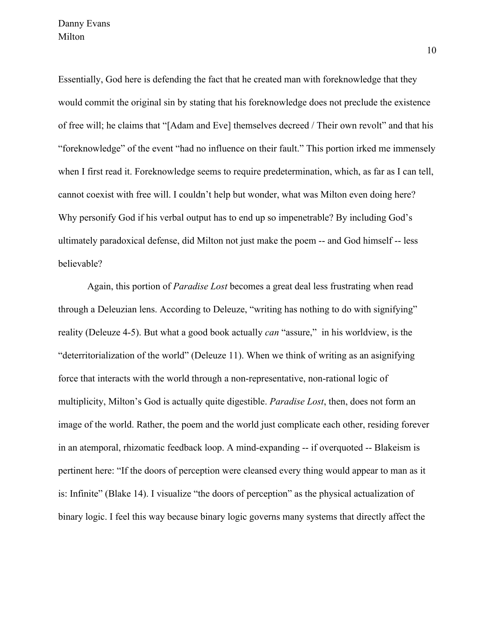Essentially, God here is defending the fact that he created man with foreknowledge that they would commit the original sin by stating that his foreknowledge does not preclude the existence of free will; he claims that "[Adam and Eve] themselves decreed / Their own revolt" and that his "foreknowledge" of the event "had no influence on their fault." This portion irked me immensely when I first read it. Foreknowledge seems to require predetermination, which, as far as I can tell, cannot coexist with free will. I couldn't help but wonder, what was Milton even doing here? Why personify God if his verbal output has to end up so impenetrable? By including God's ultimately paradoxical defense, did Milton not just make the poem -- and God himself -- less believable?

Again, this portion of *Paradise Lost* becomes a great deal less frustrating when read through a Deleuzian lens. According to Deleuze, "writing has nothing to do with signifying" reality (Deleuze 4-5). But what a good book actually *can* "assure," in his worldview, is the "deterritorialization of the world" (Deleuze 11). When we think of writing as an asignifying force that interacts with the world through a non-representative, non-rational logic of multiplicity, Milton's God is actually quite digestible. *Paradise Lost*, then, does not form an image of the world. Rather, the poem and the world just complicate each other, residing forever in an atemporal, rhizomatic feedback loop. A mind-expanding -- if overquoted -- Blakeism is pertinent here: "If the doors of perception were cleansed every thing would appear to man as it is: Infinite" (Blake 14). I visualize "the doors of perception" as the physical actualization of binary logic. I feel this way because binary logic governs many systems that directly affect the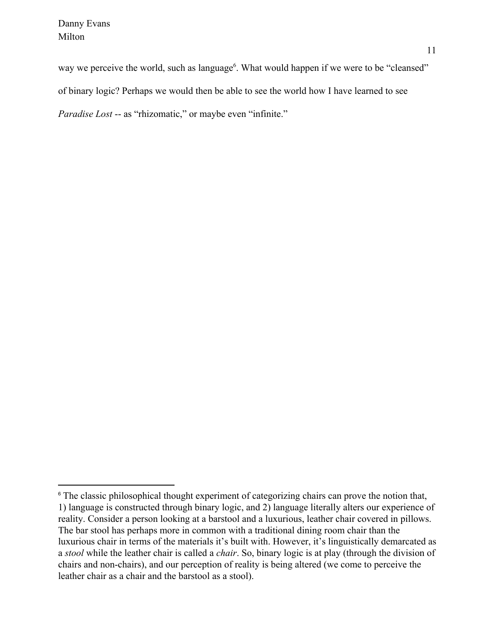way we perceive the world, such as language<sup>6</sup>. What would happen if we were to be "cleansed" of binary logic? Perhaps we would then be able to see the world how I have learned to see *Paradise Lost* -- as "rhizomatic," or maybe even "infinite."

<sup>&</sup>lt;sup>6</sup> The classic philosophical thought experiment of categorizing chairs can prove the notion that, 1) language is constructed through binary logic, and 2) language literally alters our experience of reality. Consider a person looking at a barstool and a luxurious, leather chair covered in pillows. The bar stool has perhaps more in common with a traditional dining room chair than the luxurious chair in terms of the materials it's built with. However, it's linguistically demarcated as a *stool* while the leather chair is called a *chair*. So, binary logic is at play (through the division of chairs and non-chairs), and our perception of reality is being altered (we come to perceive the leather chair as a chair and the barstool as a stool).